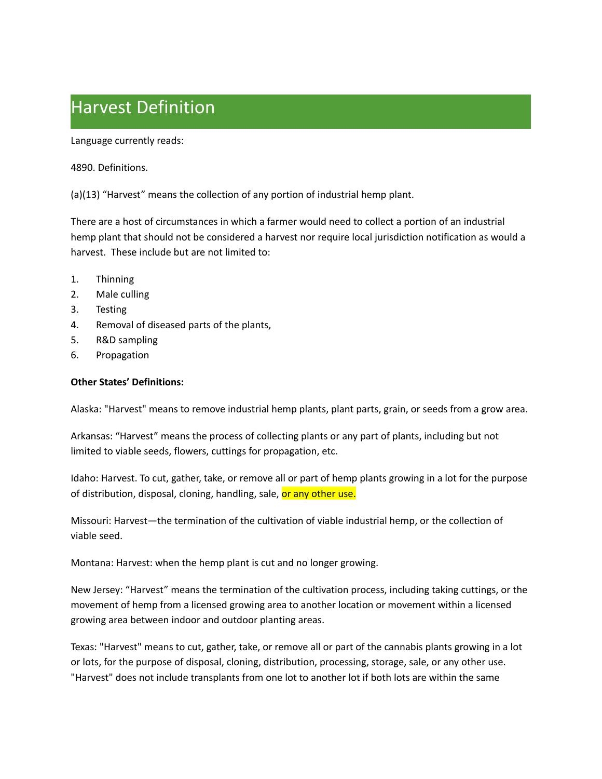## Harvest Definition

Language currently reads:

4890. Definitions.

(a)(13) "Harvest" means the collection of any portion of industrial hemp plant.

 There are a host of circumstances in which a farmer would need to collect a portion of an industrial hemp plant that should not be considered a harvest nor require local jurisdiction notification as would a harvest. These include but are not limited to:

- $1.$ **Thinning**
- $2.$ Male culling
- $3.$ **Testing**
- 4. Removal of diseased parts of the plants,
- 5. 5. R&D sampling
- 6. Propagation

## **Other States' Definitions:**

Alaska: "Harvest" means to remove industrial hemp plants, plant parts, grain, or seeds from a grow area.

 Arkansas: "Harvest" means the process of collecting plants or any part of plants, including but not limited to viable seeds, flowers, cuttings for propagation, etc.

 Idaho: Harvest. To cut, gather, take, or remove all or part of hemp plants growing in a lot for the purpose of distribution, disposal, cloning, handling, sale, <mark>or any other use.</mark>

 Missouri: Harvest—the termination of the cultivation of viable industrial hemp, or the collection of viable seed.

Montana: Harvest: when the hemp plant is cut and no longer growing.

 New Jersey: "Harvest" means the termination of the cultivation process, including taking cuttings, or the movement of hemp from a licensed growing area to another location or movement within a licensed growing area between indoor and outdoor planting areas.

 Texas: "Harvest" means to cut, gather, take, or remove all or part of the cannabis plants growing in a lot or lots, for the purpose of disposal, cloning, distribution, processing, storage, sale, or any other use. "Harvest" does not include transplants from one lot to another lot if both lots are within the same